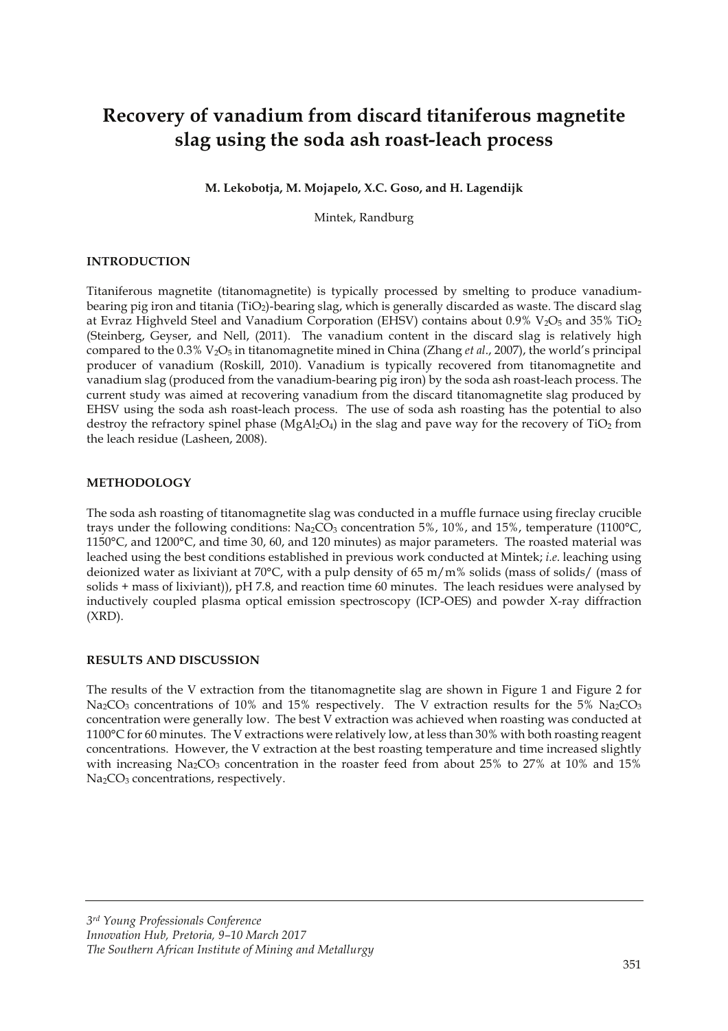# **Recovery of vanadium from discard titaniferous magnetite slag using the soda ash roast-leach process**

**M. Lekobotja, M. Mojapelo, X.C. Goso, and H. Lagendijk** 

Mintek, Randburg

## **INTRODUCTION**

Titaniferous magnetite (titanomagnetite) is typically processed by smelting to produce vanadiumbearing pig iron and titania (TiO2)-bearing slag, which is generally discarded as waste. The discard slag at Evraz Highveld Steel and Vanadium Corporation (EHSV) contains about  $0.9\%$  V<sub>2</sub>O<sub>5</sub> and 35% TiO<sub>2</sub> (Steinberg, Geyser, and Nell, (2011). The vanadium content in the discard slag is relatively high compared to the 0.3% V2O5 in titanomagnetite mined in China (Zhang *et al*., 2007), the world's principal producer of vanadium (Roskill, 2010). Vanadium is typically recovered from titanomagnetite and vanadium slag (produced from the vanadium-bearing pig iron) by the soda ash roast-leach process. The current study was aimed at recovering vanadium from the discard titanomagnetite slag produced by EHSV using the soda ash roast-leach process. The use of soda ash roasting has the potential to also destroy the refractory spinel phase ( $MgAl<sub>2</sub>O<sub>4</sub>$ ) in the slag and pave way for the recovery of TiO<sub>2</sub> from the leach residue (Lasheen, 2008).

#### **METHODOLOGY**

The soda ash roasting of titanomagnetite slag was conducted in a muffle furnace using fireclay crucible trays under the following conditions:  $Na_2CO_3$  concentration 5%, 10%, and 15%, temperature (1100°C, 1150°C, and 1200°C, and time 30, 60, and 120 minutes) as major parameters. The roasted material was leached using the best conditions established in previous work conducted at Mintek; *i.e*. leaching using deionized water as lixiviant at 70 $\degree$ C, with a pulp density of 65 m/m% solids (mass of solids/ (mass of solids + mass of lixiviant)), pH 7.8, and reaction time 60 minutes. The leach residues were analysed by inductively coupled plasma optical emission spectroscopy (ICP-OES) and powder X-ray diffraction (XRD).

#### **RESULTS AND DISCUSSION**

The results of the V extraction from the titanomagnetite slag are shown in Figure 1 and Figure 2 for Na<sub>2</sub>CO<sub>3</sub> concentrations of 10% and 15% respectively. The V extraction results for the 5% Na<sub>2</sub>CO<sub>3</sub> concentration were generally low. The best V extraction was achieved when roasting was conducted at 1100°C for 60 minutes. The V extractions were relatively low, at less than 30% with both roasting reagent concentrations. However, the V extraction at the best roasting temperature and time increased slightly with increasing  $Na<sub>2</sub>CO<sub>3</sub>$  concentration in the roaster feed from about 25% to 27% at 10% and 15% Na<sub>2</sub>CO<sub>3</sub> concentrations, respectively.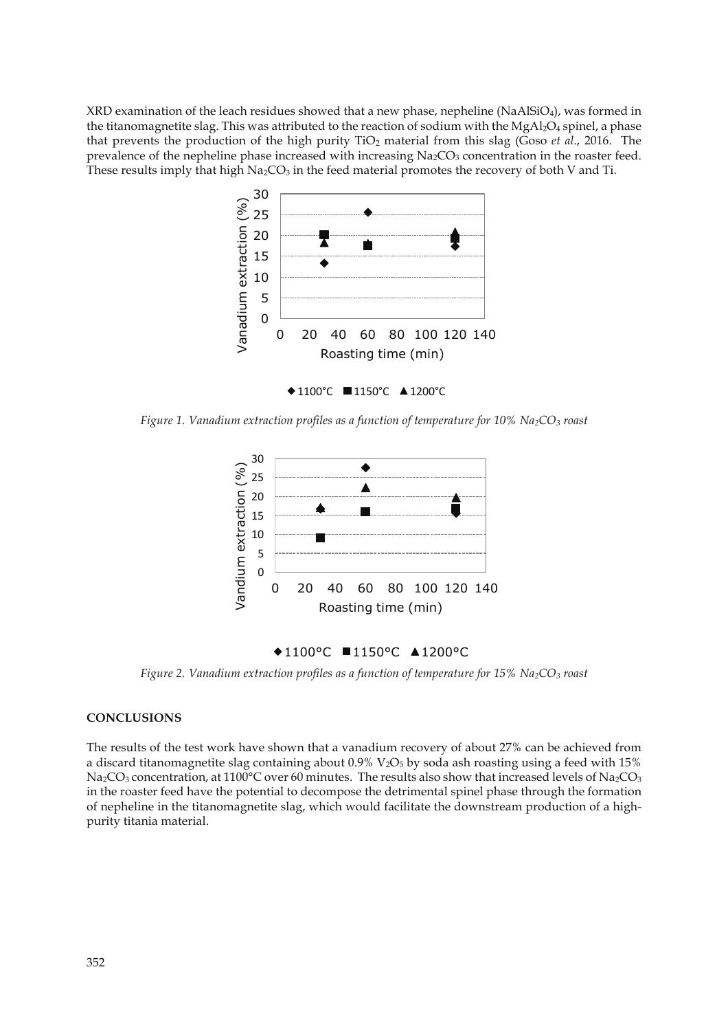XRD examination of the leach residues showed that a new phase, nepheline (NaAlSiO<sub>4</sub>), was formed in the titanomagnetite slag. This was attributed to the reaction of sodium with the  $MgAl_2O_4$  spinel, a phase that prevents the production of the high purity TiO2 material from this slag (Goso *et al*., 2016. The prevalence of the nepheline phase increased with increasing Na<sub>2</sub>CO<sub>3</sub> concentration in the roaster feed. These results imply that high  $Na<sub>2</sub>CO<sub>3</sub>$  in the feed material promotes the recovery of both V and Ti.



1100°C ■1150°C ▲1200°C

*Figure 1. Vanadium extraction profiles as a function of temperature for 10% Na2CO3 roast* 



## ◆1100°C ■1150°C ▲1200°C

*Figure 2. Vanadium extraction profiles as a function of temperature for 15% Na2CO3 roast*

### **CONCLUSIONS**

The results of the test work have shown that a vanadium recovery of about 27% can be achieved from a discard titanomagnetite slag containing about  $0.9\%$  V<sub>2</sub>O<sub>5</sub> by soda ash roasting using a feed with 15% Na<sub>2</sub>CO<sub>3</sub> concentration, at 1100°C over 60 minutes. The results also show that increased levels of Na<sub>2</sub>CO<sub>3</sub> in the roaster feed have the potential to decompose the detrimental spinel phase through the formation of nepheline in the titanomagnetite slag, which would facilitate the downstream production of a highpurity titania material.